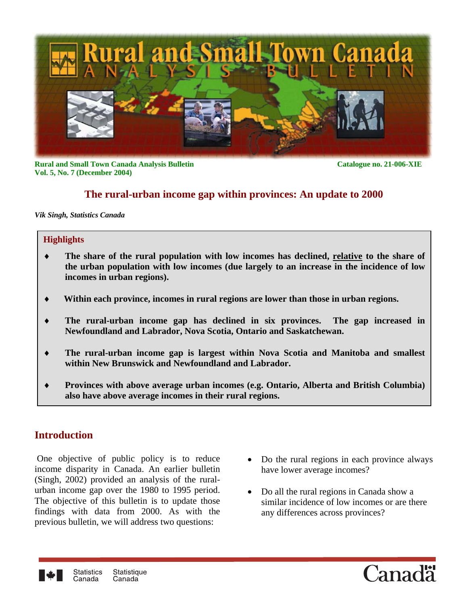

**Rural and Small Town Canada Analysis Bulletin Catalogue no. 21-006-XIE Vol. 5, No. 7 (December 2004)**

## **The rural-urban income gap within provinces: An update to 2000**

*Vik Singh, Statistics Canada*

#### **Highlights**

- ♦ **The share of the rural population with low incomes has declined, relative to the share of the urban population with low incomes (due largely to an increase in the incidence of low incomes in urban regions).**
- ♦ **Within each province, incomes in rural regions are lower than those in urban regions.**
- ♦ **The rural-urban income gap has declined in six provinces. The gap increased in Newfoundland and Labrador, Nova Scotia, Ontario and Saskatchewan.**
- ♦ **The rural-urban income gap is largest within Nova Scotia and Manitoba and smallest within New Brunswick and Newfoundland and Labrador.**
- ♦ **Provinces with above average urban incomes (e.g. Ontario, Alberta and British Columbia) also have above average incomes in their rural regions.**

## **Introduction**

 One objective of public policy is to reduce income disparity in Canada. An earlier bulletin (Singh, 2002) provided an analysis of the ruralurban income gap over the 1980 to 1995 period. The objective of this bulletin is to update those findings with data from 2000. As with the previous bulletin, we will address two questions:

- Do the rural regions in each province always have lower average incomes?
- Do all the rural regions in Canada show a similar incidence of low incomes or are there any differences across provinces?



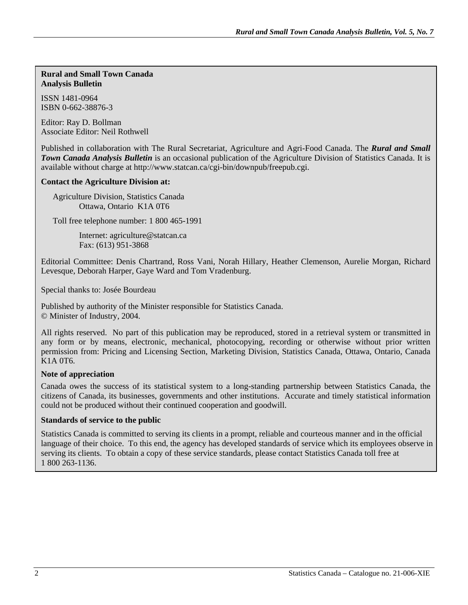#### **Rural and Small Town Canada Analysis Bulletin**

ISSN 1481-0964 ISBN 0-662-38876-3

Editor: Ray D. Bollman Associate Editor: Neil Rothwell

Published in collaboration with The Rural Secretariat, Agriculture and Agri-Food Canada. The *Rural and Small Town Canada Analysis Bulletin* is an occasional publication of the Agriculture Division of Statistics Canada. It is available without charge at http://www.statcan.ca/cgi-bin/downpub/freepub.cgi.

#### **Contact the Agriculture Division at:**

Agriculture Division, Statistics Canada Ottawa, Ontario K1A 0T6

Toll free telephone number: 1 800 465-1991

 Internet: agriculture@statcan.ca Fax: (613) 951-3868

Editorial Committee: Denis Chartrand, Ross Vani, Norah Hillary, Heather Clemenson, Aurelie Morgan, Richard Levesque, Deborah Harper, Gaye Ward and Tom Vradenburg.

Special thanks to: Josée Bourdeau

Published by authority of the Minister responsible for Statistics Canada. © Minister of Industry, 2004.

All rights reserved. No part of this publication may be reproduced, stored in a retrieval system or transmitted in any form or by means, electronic, mechanical, photocopying, recording or otherwise without prior written permission from: Pricing and Licensing Section, Marketing Division, Statistics Canada, Ottawa, Ontario, Canada K1A 0T6.

#### **Note of appreciation**

Canada owes the success of its statistical system to a long-standing partnership between Statistics Canada, the citizens of Canada, its businesses, governments and other institutions. Accurate and timely statistical information could not be produced without their continued cooperation and goodwill.

#### **Standards of service to the public**

Statistics Canada is committed to serving its clients in a prompt, reliable and courteous manner and in the official language of their choice. To this end, the agency has developed standards of service which its employees observe in serving its clients. To obtain a copy of these service standards, please contact Statistics Canada toll free at 1 800 263-1136.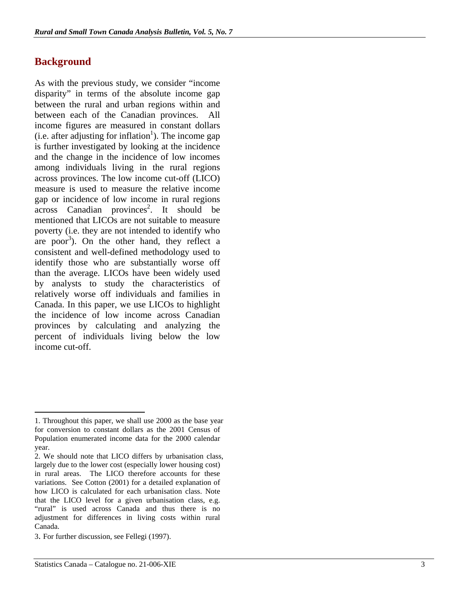## **Background**

As with the previous study, we consider "income disparity" in terms of the absolute income gap between the rural and urban regions within and between each of the Canadian provinces. All income figures are measured in constant dollars  $(i.e.$  after adjusting for inflation<sup>1</sup>). The income gap is further investigated by looking at the incidence and the change in the incidence of low incomes among individuals living in the rural regions across provinces. The low income cut-off (LICO) measure is used to measure the relative income gap or incidence of low income in rural regions  $\arccos$  Canadian provinces<sup>2</sup>. It should be mentioned that LICOs are not suitable to measure poverty (i.e. they are not intended to identify who are poor<sup>3</sup>). On the other hand, they reflect a consistent and well-defined methodology used to identify those who are substantially worse off than the average. LICOs have been widely used by analysts to study the characteristics of relatively worse off individuals and families in Canada. In this paper, we use LICOs to highlight the incidence of low income across Canadian provinces by calculating and analyzing the percent of individuals living below the low income cut-off.

1

<sup>1.</sup> Throughout this paper, we shall use 2000 as the base year for conversion to constant dollars as the 2001 Census of Population enumerated income data for the 2000 calendar year.

<sup>2.</sup> We should note that LICO differs by urbanisation class, largely due to the lower cost (especially lower housing cost) in rural areas. The LICO therefore accounts for these variations. See Cotton (2001) for a detailed explanation of how LICO is calculated for each urbanisation class. Note that the LICO level for a given urbanisation class, e.g. "rural" is used across Canada and thus there is no adjustment for differences in living costs within rural Canada.

<sup>3</sup>. For further discussion, see Fellegi (1997).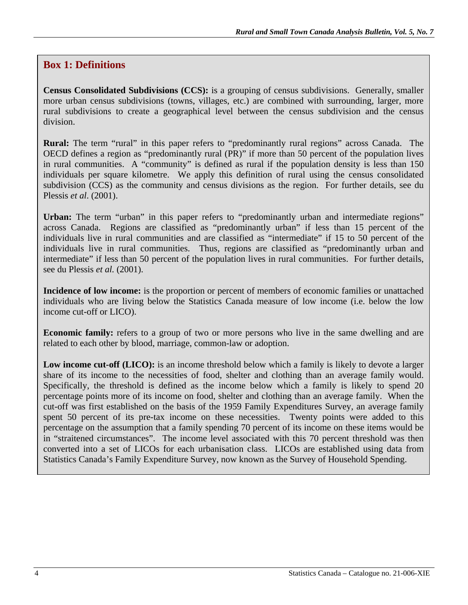## **Box 1: Definitions**

**Census Consolidated Subdivisions (CCS):** is a grouping of census subdivisions. Generally, smaller more urban census subdivisions (towns, villages, etc.) are combined with surrounding, larger, more rural subdivisions to create a geographical level between the census subdivision and the census division.

**Rural:** The term "rural" in this paper refers to "predominantly rural regions" across Canada. The OECD defines a region as "predominantly rural (PR)" if more than 50 percent of the population lives in rural communities. A "community" is defined as rural if the population density is less than 150 individuals per square kilometre. We apply this definition of rural using the census consolidated subdivision (CCS) as the community and census divisions as the region. For further details, see du Plessis *et al*. (2001).

Urban: The term "urban" in this paper refers to "predominantly urban and intermediate regions" across Canada. Regions are classified as "predominantly urban" if less than 15 percent of the individuals live in rural communities and are classified as "intermediate" if 15 to 50 percent of the individuals live in rural communities. Thus, regions are classified as "predominantly urban and intermediate" if less than 50 percent of the population lives in rural communities. For further details, see du Plessis *et al.* (2001).

**Incidence of low income:** is the proportion or percent of members of economic families or unattached individuals who are living below the Statistics Canada measure of low income (i.e. below the low income cut-off or LICO).

**Economic family:** refers to a group of two or more persons who live in the same dwelling and are related to each other by blood, marriage, common-law or adoption.

**Low income cut-off (LICO):** is an income threshold below which a family is likely to devote a larger share of its income to the necessities of food, shelter and clothing than an average family would. Specifically, the threshold is defined as the income below which a family is likely to spend 20 percentage points more of its income on food, shelter and clothing than an average family. When the cut-off was first established on the basis of the 1959 Family Expenditures Survey, an average family spent 50 percent of its pre-tax income on these necessities. Twenty points were added to this percentage on the assumption that a family spending 70 percent of its income on these items would be in "straitened circumstances". The income level associated with this 70 percent threshold was then converted into a set of LICOs for each urbanisation class. LICOs are established using data from Statistics Canada's Family Expenditure Survey, now known as the Survey of Household Spending.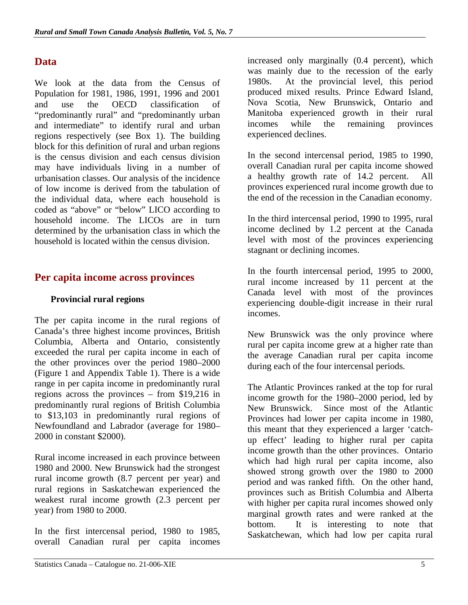# **Data**

We look at the data from the Census of Population for 1981, 1986, 1991, 1996 and 2001 and use the OECD classification of "predominantly rural" and "predominantly urban and intermediate" to identify rural and urban regions respectively (see Box 1). The building block for this definition of rural and urban regions is the census division and each census division may have individuals living in a number of urbanisation classes. Our analysis of the incidence of low income is derived from the tabulation of the individual data, where each household is coded as "above" or "below" LICO according to household income. The LICOs are in turn determined by the urbanisation class in which the household is located within the census division.

## **Per capita income across provinces**

## **Provincial rural regions**

The per capita income in the rural regions of Canada's three highest income provinces, British Columbia, Alberta and Ontario, consistently exceeded the rural per capita income in each of the other provinces over the period 1980–2000 (Figure 1 and Appendix Table 1). There is a wide range in per capita income in predominantly rural regions across the provinces – from \$19,216 in predominantly rural regions of British Columbia to \$13,103 in predominantly rural regions of Newfoundland and Labrador (average for 1980– 2000 in constant \$2000).

Rural income increased in each province between 1980 and 2000. New Brunswick had the strongest rural income growth (8.7 percent per year) and rural regions in Saskatchewan experienced the weakest rural income growth (2.3 percent per year) from 1980 to 2000.

In the first intercensal period, 1980 to 1985, overall Canadian rural per capita incomes increased only marginally (0.4 percent), which was mainly due to the recession of the early 1980s. At the provincial level, this period produced mixed results. Prince Edward Island, Nova Scotia, New Brunswick, Ontario and Manitoba experienced growth in their rural incomes while the remaining provinces experienced declines.

In the second intercensal period, 1985 to 1990, overall Canadian rural per capita income showed a healthy growth rate of 14.2 percent. All provinces experienced rural income growth due to the end of the recession in the Canadian economy.

In the third intercensal period, 1990 to 1995, rural income declined by 1.2 percent at the Canada level with most of the provinces experiencing stagnant or declining incomes.

In the fourth intercensal period, 1995 to 2000, rural income increased by 11 percent at the Canada level with most of the provinces experiencing double-digit increase in their rural incomes.

New Brunswick was the only province where rural per capita income grew at a higher rate than the average Canadian rural per capita income during each of the four intercensal periods.

The Atlantic Provinces ranked at the top for rural income growth for the 1980–2000 period, led by New Brunswick. Since most of the Atlantic Provinces had lower per capita income in 1980, this meant that they experienced a larger 'catchup effect' leading to higher rural per capita income growth than the other provinces. Ontario which had high rural per capita income, also showed strong growth over the 1980 to 2000 period and was ranked fifth. On the other hand, provinces such as British Columbia and Alberta with higher per capita rural incomes showed only marginal growth rates and were ranked at the bottom. It is interesting to note that Saskatchewan, which had low per capita rural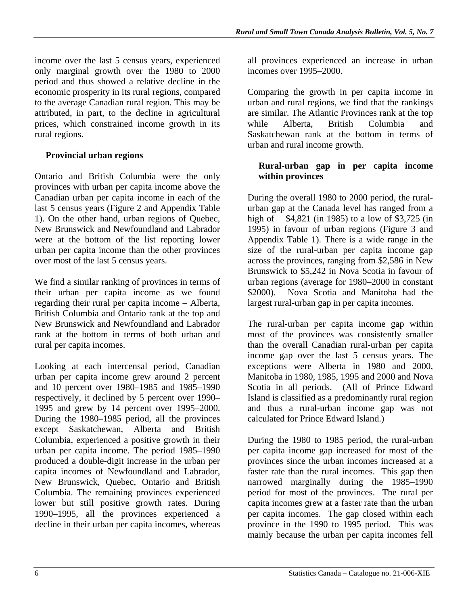income over the last 5 census years, experienced only marginal growth over the 1980 to 2000 period and thus showed a relative decline in the economic prosperity in its rural regions, compared to the average Canadian rural region. This may be attributed, in part, to the decline in agricultural prices, which constrained income growth in its rural regions.

## **Provincial urban regions**

Ontario and British Columbia were the only provinces with urban per capita income above the Canadian urban per capita income in each of the last 5 census years (Figure 2 and Appendix Table 1). On the other hand, urban regions of Quebec, New Brunswick and Newfoundland and Labrador were at the bottom of the list reporting lower urban per capita income than the other provinces over most of the last 5 census years.

We find a similar ranking of provinces in terms of their urban per capita income as we found regarding their rural per capita income – Alberta, British Columbia and Ontario rank at the top and New Brunswick and Newfoundland and Labrador rank at the bottom in terms of both urban and rural per capita incomes.

Looking at each intercensal period, Canadian urban per capita income grew around 2 percent and 10 percent over 1980–1985 and 1985–1990 respectively, it declined by 5 percent over 1990– 1995 and grew by 14 percent over 1995–2000. During the 1980–1985 period, all the provinces except Saskatchewan, Alberta and British Columbia, experienced a positive growth in their urban per capita income. The period 1985–1990 produced a double-digit increase in the urban per capita incomes of Newfoundland and Labrador, New Brunswick, Quebec, Ontario and British Columbia. The remaining provinces experienced lower but still positive growth rates. During 1990–1995, all the provinces experienced a decline in their urban per capita incomes, whereas

all provinces experienced an increase in urban incomes over 1995–2000.

Comparing the growth in per capita income in urban and rural regions, we find that the rankings are similar. The Atlantic Provinces rank at the top while Alberta, British Columbia and Saskatchewan rank at the bottom in terms of urban and rural income growth.

## **Rural-urban gap in per capita income within provinces**

During the overall 1980 to 2000 period, the ruralurban gap at the Canada level has ranged from a high of \$4,821 (in 1985) to a low of \$3,725 (in 1995) in favour of urban regions (Figure 3 and Appendix Table 1). There is a wide range in the size of the rural-urban per capita income gap across the provinces, ranging from \$2,586 in New Brunswick to \$5,242 in Nova Scotia in favour of urban regions (average for 1980–2000 in constant \$2000). Nova Scotia and Manitoba had the largest rural-urban gap in per capita incomes.

The rural-urban per capita income gap within most of the provinces was consistently smaller than the overall Canadian rural-urban per capita income gap over the last 5 census years. The exceptions were Alberta in 1980 and 2000, Manitoba in 1980, 1985, 1995 and 2000 and Nova Scotia in all periods. (All of Prince Edward Island is classified as a predominantly rural region and thus a rural-urban income gap was not calculated for Prince Edward Island.)

During the 1980 to 1985 period, the rural-urban per capita income gap increased for most of the provinces since the urban incomes increased at a faster rate than the rural incomes. This gap then narrowed marginally during the 1985–1990 period for most of the provinces. The rural per capita incomes grew at a faster rate than the urban per capita incomes. The gap closed within each province in the 1990 to 1995 period. This was mainly because the urban per capita incomes fell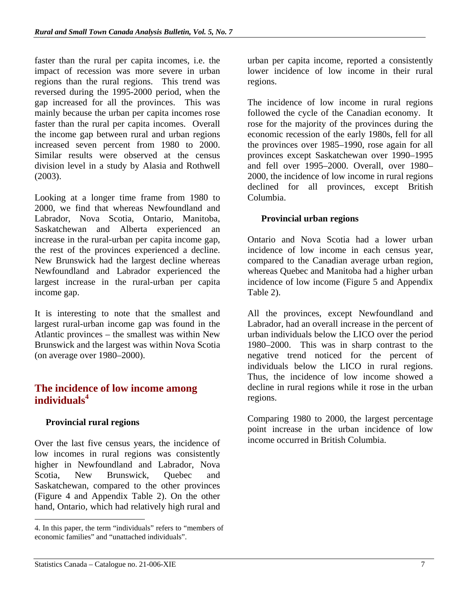faster than the rural per capita incomes, i.e. the impact of recession was more severe in urban regions than the rural regions. This trend was reversed during the 1995-2000 period, when the gap increased for all the provinces. This was mainly because the urban per capita incomes rose faster than the rural per capita incomes. Overall the income gap between rural and urban regions increased seven percent from 1980 to 2000. Similar results were observed at the census division level in a study by Alasia and Rothwell (2003).

Looking at a longer time frame from 1980 to 2000, we find that whereas Newfoundland and Labrador, Nova Scotia, Ontario, Manitoba, Saskatchewan and Alberta experienced an increase in the rural-urban per capita income gap, the rest of the provinces experienced a decline. New Brunswick had the largest decline whereas Newfoundland and Labrador experienced the largest increase in the rural-urban per capita income gap.

It is interesting to note that the smallest and largest rural-urban income gap was found in the Atlantic provinces – the smallest was within New Brunswick and the largest was within Nova Scotia (on average over 1980–2000).

# **The incidence of low income among individuals<sup>4</sup>**

# **Provincial rural regions**

Over the last five census years, the incidence of low incomes in rural regions was consistently higher in Newfoundland and Labrador, Nova Scotia, New Brunswick, Quebec and Saskatchewan, compared to the other provinces (Figure 4 and Appendix Table 2). On the other hand, Ontario, which had relatively high rural and urban per capita income, reported a consistently lower incidence of low income in their rural regions.

The incidence of low income in rural regions followed the cycle of the Canadian economy. It rose for the majority of the provinces during the economic recession of the early 1980s, fell for all the provinces over 1985–1990, rose again for all provinces except Saskatchewan over 1990–1995 and fell over 1995–2000. Overall, over 1980– 2000, the incidence of low income in rural regions declined for all provinces, except British Columbia.

# **Provincial urban regions**

Ontario and Nova Scotia had a lower urban incidence of low income in each census year, compared to the Canadian average urban region, whereas Quebec and Manitoba had a higher urban incidence of low income (Figure 5 and Appendix Table 2).

All the provinces, except Newfoundland and Labrador, had an overall increase in the percent of urban individuals below the LICO over the period 1980–2000. This was in sharp contrast to the negative trend noticed for the percent of individuals below the LICO in rural regions. Thus, the incidence of low income showed a decline in rural regions while it rose in the urban regions.

Comparing 1980 to 2000, the largest percentage point increase in the urban incidence of low income occurred in British Columbia.

<sup>1</sup> 4. In this paper, the term "individuals" refers to "members of economic families" and "unattached individuals".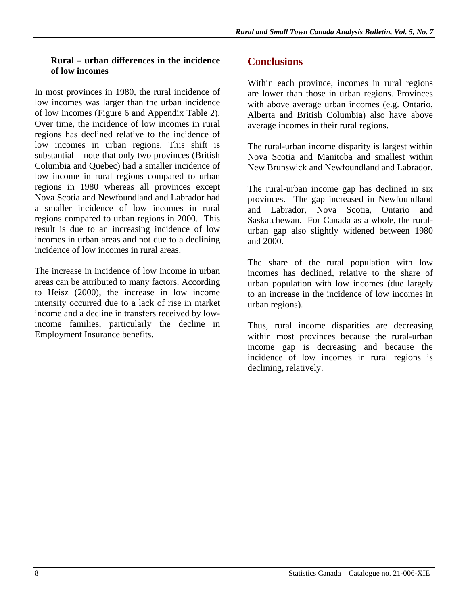#### **Rural – urban differences in the incidence of low incomes**

In most provinces in 1980, the rural incidence of low incomes was larger than the urban incidence of low incomes (Figure 6 and Appendix Table 2). Over time, the incidence of low incomes in rural regions has declined relative to the incidence of low incomes in urban regions. This shift is substantial – note that only two provinces (British Columbia and Quebec) had a smaller incidence of low income in rural regions compared to urban regions in 1980 whereas all provinces except Nova Scotia and Newfoundland and Labrador had a smaller incidence of low incomes in rural regions compared to urban regions in 2000. This result is due to an increasing incidence of low incomes in urban areas and not due to a declining incidence of low incomes in rural areas.

The increase in incidence of low income in urban areas can be attributed to many factors. According to Heisz (2000), the increase in low income intensity occurred due to a lack of rise in market income and a decline in transfers received by lowincome families, particularly the decline in Employment Insurance benefits.

## **Conclusions**

Within each province, incomes in rural regions are lower than those in urban regions. Provinces with above average urban incomes (e.g. Ontario, Alberta and British Columbia) also have above average incomes in their rural regions.

The rural-urban income disparity is largest within Nova Scotia and Manitoba and smallest within New Brunswick and Newfoundland and Labrador.

The rural-urban income gap has declined in six provinces. The gap increased in Newfoundland and Labrador, Nova Scotia, Ontario and Saskatchewan. For Canada as a whole, the ruralurban gap also slightly widened between 1980 and 2000.

The share of the rural population with low incomes has declined, relative to the share of urban population with low incomes (due largely to an increase in the incidence of low incomes in urban regions).

Thus, rural income disparities are decreasing within most provinces because the rural-urban income gap is decreasing and because the incidence of low incomes in rural regions is declining, relatively.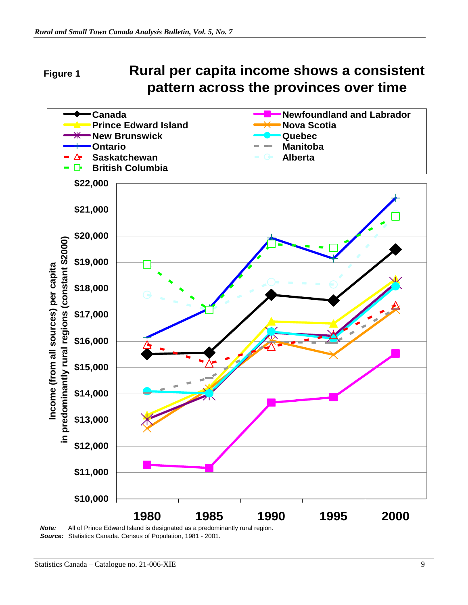#### **Rural per capita income shows a consistent pattern across the provinces over time Figure 1**



*Note:* All of Prince Edward Island is designated as a predominantly rural region. *Source:* Statistics Canada. Census of Population, 1981 - 2001.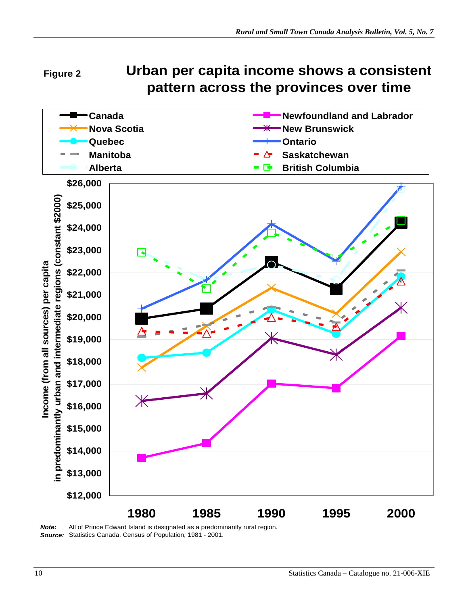#### **Urban per capita income shows a consistent pattern across the provinces over time Figure 2**



*Note:* All of Prince Edward Island is designated as a predominantly rural region. *Source:* Statistics Canada. Census of Population, 1981 - 2001.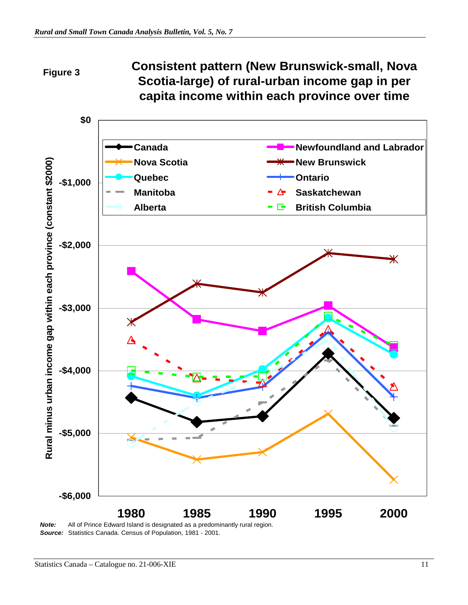#### **Consistent pattern (New Brunswick-small, Nova Scotia-large) of rural-urban income gap in per capita income within each province over time Figure 3**



*Source:* Statistics Canada. Census of Population, 1981 - 2001.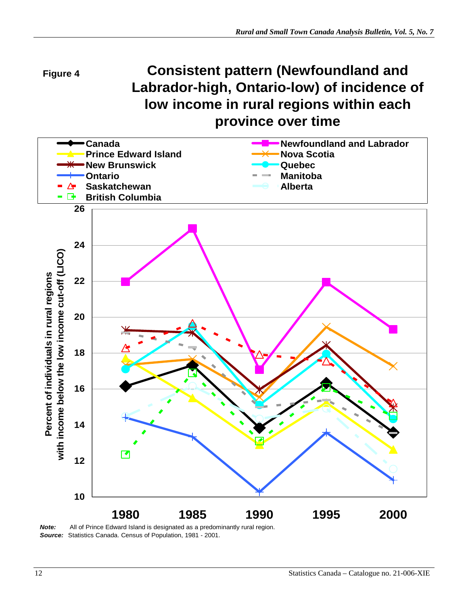

# **Consistent pattern (Newfoundland and Labrador-high, Ontario-low) of incidence of low income in rural regions within each province over time**



*Source:* Statistics Canada. Census of Population, 1981 - 2001.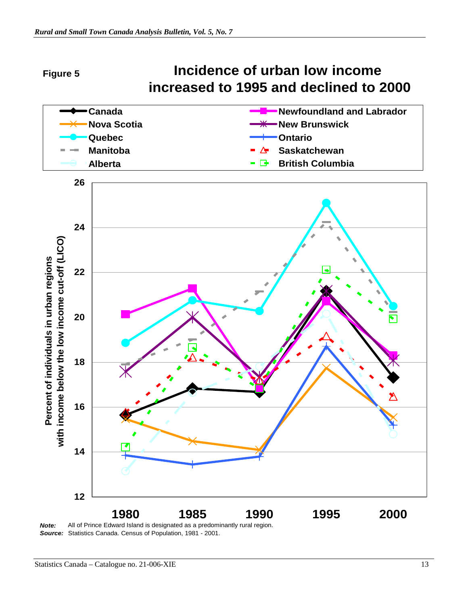

*Note:* All of Prince Edward Island is designated as a predominantly rural region. *Source:* Statistics Canada. Census of Population, 1981 - 2001.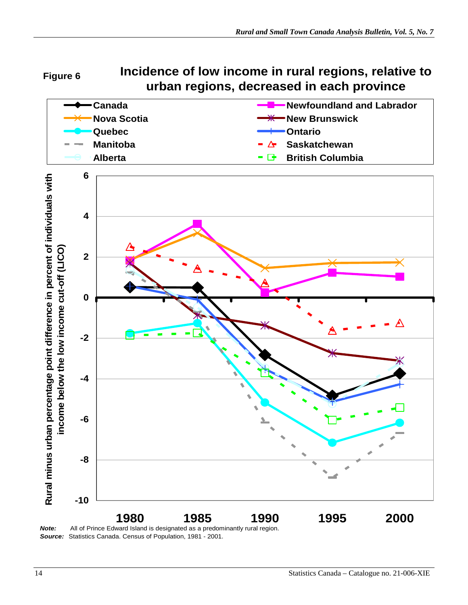**Figure 6**

**Incidence of low income in rural regions, relative to urban regions, decreased in each province**



*Source:* Statistics Canada. Census of Population, 1981 - 2001.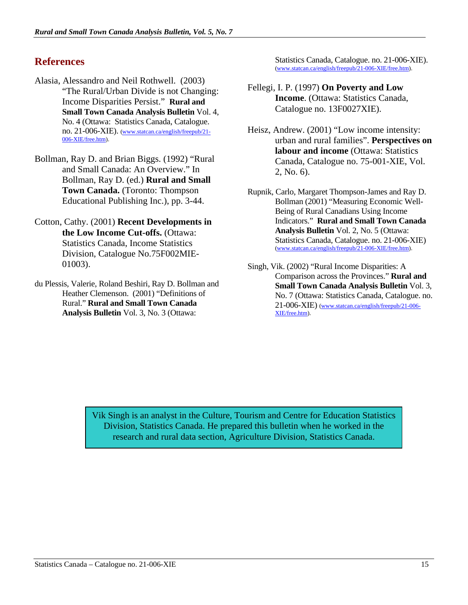## **References**

- Alasia, Alessandro and Neil Rothwell. (2003) "The Rural/Urban Divide is not Changing: Income Disparities Persist." **Rural and Small Town Canada Analysis Bulletin** Vol. 4, No. 4 (Ottawa: Statistics Canada, Catalogue. no. 21-006-XIE). (www.statcan.ca/english/freepub/21- 006-XIE/free.htm).
- Bollman, Ray D. and Brian Biggs. (1992) "Rural and Small Canada: An Overview." In Bollman, Ray D. (ed.) **Rural and Small Town Canada.** (Toronto: Thompson Educational Publishing Inc.), pp. 3-44.
- Cotton, Cathy. (2001) **Recent Developments in the Low Income Cut-offs.** (Ottawa: Statistics Canada, Income Statistics Division, Catalogue No.75F002MIE-01003).
- du Plessis, Valerie, Roland Beshiri, Ray D. Bollman and Heather Clemenson. (2001) "Definitions of Rural." **Rural and Small Town Canada Analysis Bulletin** Vol. 3, No. 3 (Ottawa:

Statistics Canada, Catalogue. no. 21-006-XIE). (www.statcan.ca/english/freepub/21-006-XIE/free.htm).

- Fellegi, I. P. (1997) **On Poverty and Low Income**. (Ottawa: Statistics Canada, Catalogue no. 13F0027XIE).
- Heisz, Andrew. (2001) "Low income intensity: urban and rural families". **Perspectives on labour and income** (Ottawa: Statistics Canada, Catalogue no. 75-001-XIE, Vol. 2, No. 6).
- Rupnik, Carlo, Margaret Thompson-James and Ray D. Bollman (2001) "Measuring Economic Well-Being of Rural Canadians Using Income Indicators." **Rural and Small Town Canada Analysis Bulletin** Vol. 2, No. 5 (Ottawa: Statistics Canada, Catalogue. no. 21-006-XIE) (www.statcan.ca/english/freepub/21-006-XIE/free.htm).
- Singh, Vik. (2002) "Rural Income Disparities: A Comparison across the Provinces." **Rural and Small Town Canada Analysis Bulletin** Vol. 3, No. 7 (Ottawa: Statistics Canada, Catalogue. no. 21-006-XIE) (www.statcan.ca/english/freepub/21-006- XIE/free.htm).

Vik Singh is an analyst in the Culture, Tourism and Centre for Education Statistics Division, Statistics Canada. He prepared this bulletin when he worked in the research and rural data section, Agriculture Division, Statistics Canada.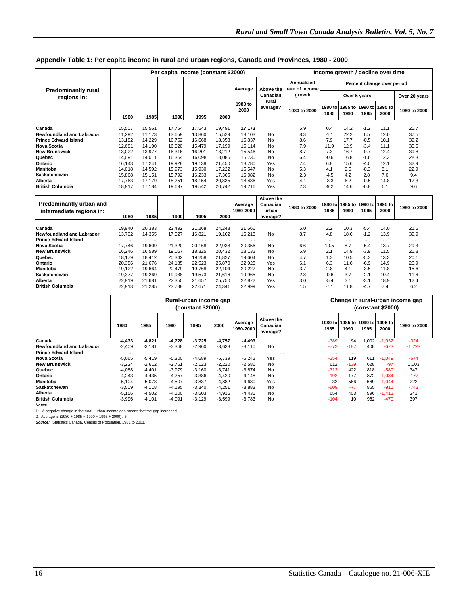|                                                     |             | Income growth / decline over time |                    |                    |                    |                      |                                            |                              |                            |                 |                                 |                  |                  |  |
|-----------------------------------------------------|-------------|-----------------------------------|--------------------|--------------------|--------------------|----------------------|--------------------------------------------|------------------------------|----------------------------|-----------------|---------------------------------|------------------|------------------|--|
| <b>Predominantly rural</b><br>regions in:           |             |                                   |                    |                    |                    | Average              | Above the                                  | Annualized<br>rate of income | Percent change over period |                 |                                 |                  |                  |  |
|                                                     |             |                                   |                    |                    |                    | Canadian             | growth                                     | Over 5 years                 |                            |                 |                                 | Over 20 years    |                  |  |
|                                                     | 1980        | 1985                              | 1990               | 1995               | 2000               | 1980 to<br>2000      | rural<br>average?                          | 1980 to 2000                 | 1980 to<br>1985            | 1990            | 1985 to 1990 to 1995 to<br>1995 | 2000             | 1980 to 2000     |  |
|                                                     |             |                                   |                    |                    |                    |                      |                                            |                              |                            |                 |                                 |                  |                  |  |
| Canada                                              | 15,507      | 15,561                            | 17.764             | 17,543             | 19,491             | 17.173               |                                            | 5.9                          | 0.4                        | 14.2            | $-1.2$                          | 11.1             | 25.7             |  |
| <b>Newfoundland and Labrador</b>                    | 11,292      | 11.173                            | 13,659             | 13.860             | 15.529             | 13.103               | <b>No</b>                                  | 8.3                          | $-1.1$                     | 22.2            | 1.5                             | 12.0             | 37.5             |  |
| <b>Prince Edward Island</b>                         | 13,182      | 14,229                            | 16,752             | 16,668             | 18,353             | 15,837               | <b>No</b>                                  | 8.6                          | 7.9                        | 17.7            | $-0.5$                          | 10.1             | 39.2             |  |
| Nova Scotia                                         | 12,681      | 14.190                            | 16.020             | 15.479             | 17.199             | 15.114               | No                                         | 7.9                          | 11.9                       | 12.9            | $-3.4$                          | 11.1             | 35.6             |  |
| <b>New Brunswick</b>                                | 13,022      | 13,977                            | 16,316             | 16.201             | 18,212             | 15.546               | <b>No</b>                                  | 8.7                          | 7.3                        | 16.7            | $-0.7$                          | 12.4             | 39.8             |  |
| Quebec                                              | 14,091      | 14,011                            | 16,364             | 16,098             | 18,086             | 15.730               | No                                         | 6.4                          | $-0.6$                     | 16.8            | $-1.6$                          | 12.3             | 28.3             |  |
| Ontario                                             | 16,143      | 17,241                            | 19,928             | 19,138             | 21,450             | 18,780               | Yes                                        | 7.4                          | 6.8                        | 15.6            | $-4.0$                          | 12.1             | 32.9             |  |
| Manitoba                                            | 14,018      | 14,592                            | 15,973             | 15,930             | 17,222             | 15,547               | <b>No</b>                                  | 5.3                          | 4.1                        | 9.5             | $-0.3$                          | 8.1              | 22.9             |  |
| Saskatchewan                                        | 15,868      | 15,151                            | 15,792             | 16,233             | 17,365             | 16.082               | No                                         | 2.3                          | $-4.5$                     | 4.2             | 2.8                             | 7.0              | 9.4              |  |
| Alberta                                             | 17,763      | 17,179                            | 18,251             | 18,154             | 20,835             | 18.436               | Yes                                        | 4.1                          | $-3.3$                     | 6.2             | $-0.5$                          | 14.8             | 17.3             |  |
| <b>British Columbia</b>                             | 18,917      | 17,184                            | 19,697             | 19,542             | 20,742             | 19,216               | Yes                                        | 2.3                          | $-9.2$                     | 14.6            | $-0.8$                          | 6.1              | 9.6              |  |
| Predominantly urban and<br>intermediate regions in: | 1980        | 1985                              | 1990               | 1995               | 2000               | Average<br>1980-2000 | Above the<br>Canadian<br>urban<br>average? | 1980 to 2000                 | 1980 tol<br>1985           | 1990            | 1985 to 1990 to 1995 to<br>1995 | 2000             | 1980 to 2000     |  |
| Canada                                              | 19,940      | 20,383                            | 22,492             | 21.268             | 24,248             | 21.666               |                                            | 5.0                          | 2.2                        | 10.3            | $-5.4$                          | 14.0             | 21.6             |  |
| <b>Newfoundland and Labrador</b>                    | 13,702      | 14,355                            | 17,027             | 16,821             | 19,162             | 16,213               | <b>No</b>                                  | 8.7                          | 4.8                        | 18.6            | $-1.2$                          | 13.9             | 39.9             |  |
| <b>Prince Edward Island</b>                         |             |                                   |                    |                    |                    |                      |                                            |                              |                            |                 |                                 |                  |                  |  |
| Nova Scotia                                         | .<br>17,746 | $\cdots$<br>19.609                | $\cdots$<br>21.320 | $\cdots$<br>20,168 | $\cdots$<br>22.938 | .<br>20.356          | $\cdots$<br>No                             | $\cdots$<br>6.6              | $\cdots$<br>10.5           | $\cdots$<br>8.7 | $\cdots$<br>$-5.4$              | $\cdots$<br>13.7 | $\cdots$<br>29.3 |  |
| <b>New Brunswick</b>                                | 16,246      | 16,589                            | 19,067             | 18,325             | 20,432             | 18.132               | No                                         | 5.9                          | 2.1                        | 14.9            | $-3.9$                          | 11.5             | 25.8             |  |
| Quebec                                              | 18,179      | 18,412                            | 20,342             | 19,258             | 21,827             | 19,604               | <b>No</b>                                  | 4.7                          | 1.3                        | 10.5            | $-5.3$                          | 13.3             | 20.1             |  |
| Ontario                                             | 20,386      | 21,676                            | 24,185             | 22,523             | 25,870             | 22,928               | Yes                                        | 6.1                          | 6.3                        | 11.6            | $-6.9$                          | 14.9             | 26.9             |  |
| <b>Manitoba</b>                                     | 19,122      | 19,664                            | 20.479             | 19.768             | 22,104             | 20.227               | No                                         | 3.7                          | 2.8                        | 4.1             | $-3.5$                          | 11.8             | 15.6             |  |
| Saskatchewan                                        |             |                                   | 19,988             | 19,573             |                    | 19,965               | <b>No</b>                                  | 2.8                          | $-0.6$                     | 3.7             | $-2.1$                          | 10.4             | 11.6             |  |
| Alberta                                             | 19,377      | 19,269<br>21,681                  |                    | 21,657             | 21,616<br>25,750   | 22,872               | Yes                                        | 3.0                          | $-5.4$                     | 3.1             | $-3.1$                          | 18.9             | 12.4             |  |
| <b>British Columbia</b>                             | 22,919      |                                   | 22,350<br>23.788   |                    |                    | 22.999               | Yes                                        | 1.5                          | $-7.1$                     | 11.8            | $-4.7$                          | 7.4              | 6.2              |  |
|                                                     | 22,913      | 21,285                            |                    | 22,671             | 24,341             |                      |                                            |                              |                            |                 |                                 |                  |                  |  |

#### **Appendix Table 1: Per capita income in rural and urban regions, Canada and Provinces, 1980 - 2000**

|                             | Rural-urban income gap<br>(constant \$2000) |          |          |          |          |                      | Change in rural-urban income gap<br>(constant \$2000) |          |                                         |       |          |              |
|-----------------------------|---------------------------------------------|----------|----------|----------|----------|----------------------|-------------------------------------------------------|----------|-----------------------------------------|-------|----------|--------------|
|                             | 1980                                        | 1985     | 1990     | 1995     | 2000     | Average<br>1980-2000 | Above the<br>Canadian<br>average?                     | 1985     | 1980 to 1985 to 1990 to 1995 to<br>1990 | 1995  | 2000     | 1980 to 2000 |
| Canada                      | $-4,433$                                    | $-4.821$ | $-4,728$ | $-3,725$ | $-4.757$ | $-4,493$             |                                                       | $-389$   | 94                                      | 1,002 | $-1,032$ | $-324$       |
| Newfoundland and Labrador   | $-2,409$                                    | $-3.181$ | $-3,368$ | $-2,960$ | $-3,633$ | $-3.110$             | <b>No</b>                                             | $-772$   | $-187$                                  | 408   | $-673$   | $-1,223$     |
| <b>Prince Edward Island</b> | $\cdots$                                    | $\cdots$ | $\cdots$ | $\cdots$ | $\cdots$ | $\cdots$             | $\cdots$                                              | $\cdots$ | $\cdots$                                |       | $\cdots$ | $\cdots$     |
| Nova Scotia                 | $-5,065$                                    | $-5.419$ | $-5.300$ | $-4,689$ | $-5.739$ | $-5,242$             | Yes                                                   | $-354$   | 119                                     | 611   | $-1.049$ | $-674$       |
| <b>New Brunswick</b>        | $-3.224$                                    | $-2.612$ | $-2.751$ | $-2.123$ | $-2.220$ | $-2.586$             | No                                                    | 612      | $-139$                                  | 628   | $-97$    | 1.003        |
| Quebec                      | $-4,088$                                    | $-4.401$ | $-3,979$ | $-3,160$ | $-3.741$ | $-3.874$             | No                                                    | $-313$   | 422                                     | 818   | $-580$   | 347          |
| Ontario                     | $-4,243$                                    | $-4.435$ | $-4.257$ | $-3,386$ | $-4.420$ | $-4.148$             | <b>No</b>                                             | $-192$   | 177                                     | 872   | $-1.034$ | $-177$       |
| <b>Manitoba</b>             | $-5,104$                                    | $-5.073$ | $-4.507$ | $-3,837$ | $-4,882$ | $-4,680$             | Yes                                                   | 32       | 566                                     | 669   | $-1,044$ | 222          |
| Saskatchewan                | $-3,509$                                    | $-4.118$ | $-4.195$ | $-3,340$ | $-4.251$ | $-3.883$             | No                                                    | $-609$   | $-77$                                   | 855   | $-911$   | $-743$       |
| Alberta                     | $-5,156$                                    | $-4,502$ | $-4,100$ | $-3,503$ | $-4.916$ | $-4,435$             | <b>No</b>                                             | 654      | 403                                     | 596   | $-1,412$ | 241          |
| <b>British Columbia</b>     | $-3,996$                                    | $-4,101$ | $-4,091$ | $-3.129$ | $-3,599$ | $-3,783$             | No                                                    | $-104$   | 10                                      | 962   | $-470$   | 397          |

*Notes:* 

1: A negative change in the rural - urban income gap means that the gap increased.<br>2: Average is (1980 + 1985 + 1990 + 1995 + 2000) / 5.<br>**Source**: Statistics Canada, Census of Population, 1981 to 2001.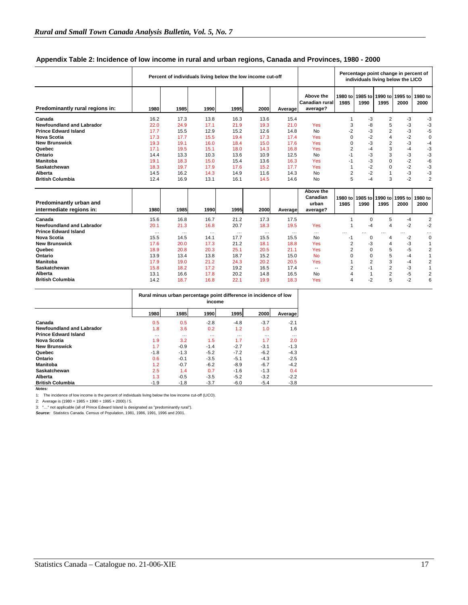|                                                     | Percent of individuals living below the low income cut-off |          |          |             |          |          |                                                | Percentage point change in percent of<br>individuals living below the LICO |                         |                                    |                 |                 |
|-----------------------------------------------------|------------------------------------------------------------|----------|----------|-------------|----------|----------|------------------------------------------------|----------------------------------------------------------------------------|-------------------------|------------------------------------|-----------------|-----------------|
| Predominantly rural regions in:                     | 1980                                                       | 1985     | 1990     | 1995        | 2000     | Average  | Above the<br><b>Canadian rural</b><br>average? | 1985                                                                       | 1990                    | 1980 tol 1985 tol 1990 tol<br>1995 | 1995 to<br>2000 | 1980 to<br>2000 |
| Canada                                              | 16.2                                                       | 17.3     | 13.8     | 16.3        | 13.6     | 15.4     |                                                |                                                                            | -3                      | 2                                  | -3              | -3              |
| <b>Newfoundland and Labrador</b>                    | 22.0                                                       | 24.9     | 17.1     | 21.9        | 19.3     | 21.0     | Yes                                            | 3                                                                          | -8                      | 5                                  | -3              | -3              |
| <b>Prince Edward Island</b>                         | 17.7                                                       | 15.5     | 12.9     | 15.2        | 12.6     | 14.8     | <b>No</b>                                      | $-2$                                                                       | -3                      | 2                                  | -3              | $-5$            |
| Nova Scotia                                         | 17.3                                                       | 17.7     | 15.5     | 19.4        | 17.3     | 17.4     | Yes                                            | $\Omega$                                                                   | $-2$                    | 4                                  | $-2$            | $\mathbf 0$     |
| <b>New Brunswick</b>                                | 19.3                                                       | 19.1     | 16.0     | 18.4        | 15.0     | 17.6     | Yes                                            | $\Omega$                                                                   | -3                      | 2                                  | -3              | $-4$            |
| Quebec                                              | 17.1                                                       | 19.5     | 15.1     | 18.0        | 14.3     | 16.8     | Yes                                            | $\overline{2}$                                                             | -4                      | 3                                  | -4              | -3              |
| Ontario                                             | 14.4                                                       | 13.3     | 10.3     | 13.6        | 10.9     | 12.5     | <b>No</b>                                      | $-1$                                                                       | -3                      | 3                                  | -3              | $-3$            |
| <b>Manitoba</b>                                     | 19.1                                                       | 18.3     | 15.0     | 15.4        | 13.6     | 16.3     | Yes                                            | $-1$                                                                       | -3                      | 0                                  | $-2$            | $-6$            |
| Saskatchewan                                        | 18.3                                                       | 19.7     | 17.9     | 17.6        | 15.2     | 17.7     | Yes                                            | 1                                                                          | $-2$                    | $\Omega$                           | $-2$            | -3              |
| Alberta                                             | 14.5                                                       | 16.2     | 14.3     | 14.9        | 11.6     | 14.3     | <b>No</b>                                      | $\overline{2}$                                                             | $-2$                    |                                    | -3              | -3              |
| <b>British Columbia</b>                             | 12.4                                                       | 16.9     | 13.1     | 16.1        | 14.5     | 14.6     | No                                             | 5                                                                          | -4                      | 3                                  | $-2$            | $\overline{2}$  |
| Predominantly urban and<br>intermediate regions in: | 1980                                                       | 1985     | 1990     | <b>1995</b> | 2000     | Average  | Above the<br>Canadian<br>urban<br>average?     | 1985                                                                       | 1980 to 1985 to<br>1990 | 1990 to<br>1995                    | 1995 to<br>2000 | 1980 to<br>2000 |
| Canada                                              | 15.6                                                       | 16.8     | 16.7     | 21.2        | 17.3     | 17.5     |                                                |                                                                            | $\Omega$                | 5                                  | -4              | $\overline{2}$  |
| <b>Newfoundland and Labrador</b>                    | 20.1                                                       | 21.3     | 16.8     | 20.7        | 18.3     | 19.5     | Yes                                            | 1                                                                          | -4                      | 4                                  | $-2$            | $-2$            |
| <b>Prince Edward Island</b>                         | $\cdots$                                                   | $\cdots$ | $\cdots$ | $\cdots$    | $\cdots$ | $\cdots$ | $\cdots$                                       | $\cdots$                                                                   |                         |                                    |                 | .               |
| Nova Scotia                                         | 15.5                                                       | 14.5     | 14.1     | 17.7        | 15.5     | 15.5     | <b>No</b>                                      | $-1$                                                                       | 0                       | 4                                  | $-2$            | $\mathbf 0$     |
| <b>New Brunswick</b>                                | 17.6                                                       | 20.0     | 17.3     | 21.2        | 18.1     | 18.8     | Yes                                            | $\overline{2}$                                                             | -3                      | 4                                  | -3              | $\mathbf{1}$    |
| Quebec                                              | 18.9                                                       | 20.8     | 20.3     | 25.1        | 20.5     | 21.1     | Yes                                            | $\overline{2}$                                                             | $\Omega$                | 5                                  | -5              | $\overline{2}$  |
| Ontario                                             | 13.9                                                       | 13.4     | 13.8     | 18.7        | 15.2     | 15.0     | <b>No</b>                                      | 0                                                                          | $\Omega$                | 5                                  | -4              | $\mathbf{1}$    |
| <b>Manitoba</b>                                     | 17.9                                                       | 19.0     | 21.2     | 24.3        | 20.2     | 20.5     | Yes                                            |                                                                            | $\overline{2}$          | 3                                  | $-4$            | 2               |
| Saskatchewan                                        | 15.8                                                       | 18.2     | 17.2     | 19.2        | 16.5     | 17.4     | $-$                                            | $\overline{2}$                                                             | $-1$                    | 2                                  | -3              | $\mathbf{1}$    |
| Alberta                                             | 13.1                                                       | 16.6     | 17.8     | 20.2        | 14.8     | 16.5     | No                                             | 4                                                                          |                         | 2                                  | $-5$            | 2               |
| <b>British Columbia</b>                             | 14.2                                                       | 18.7     | 16.8     | 22.1        | 19.9     | 18.3     | Yes                                            | $\overline{4}$                                                             | $-2$                    | 5                                  | $-2$            | 6               |

#### **Appendix Table 2: Incidence of low income in rural and urban regions, Canada and Provinces, 1980 - 2000**

|                             | Rural minus urban percentage point difference in incidence of low<br>income |          |          |          |          |          |  |  |  |  |
|-----------------------------|-----------------------------------------------------------------------------|----------|----------|----------|----------|----------|--|--|--|--|
|                             | 1980                                                                        | 1985     | 1990     | 1995     | 2000     | Average  |  |  |  |  |
| Canada                      | 0.5                                                                         | 0.5      | $-2.8$   | $-4.8$   | $-3.7$   | $-2.1$   |  |  |  |  |
| Newfoundland and Labrador   | 1.8                                                                         | 3.6      | 0.2      | 1.2      | 1.0      | 1.6      |  |  |  |  |
| <b>Prince Edward Island</b> | $\cdots$                                                                    | $\cdots$ | $\cdots$ | $\cdots$ | $\cdots$ | $\cdots$ |  |  |  |  |
| Nova Scotia                 | 1.9                                                                         | 3.2      | 1.5      | 1.7      | 1.7      | 2.0      |  |  |  |  |
| <b>New Brunswick</b>        | 1.7                                                                         | $-0.9$   | $-1.4$   | $-2.7$   | $-3.1$   | $-1.3$   |  |  |  |  |
| Quebec                      | $-1.8$                                                                      | $-1.3$   | $-5.2$   | $-7.2$   | $-6.2$   | $-4.3$   |  |  |  |  |
| Ontario                     | 0.6                                                                         | $-0.1$   | $-3.5$   | $-5.1$   | $-4.3$   | $-2.5$   |  |  |  |  |
| Manitoba                    | 1.2                                                                         | $-0.7$   | $-6.2$   | $-8.9$   | $-6.7$   | $-4.2$   |  |  |  |  |
| Saskatchewan                | 2.5                                                                         | 1.4      | 0.7      | $-1.6$   | $-1.3$   | 0.4      |  |  |  |  |
| Alberta                     | 1.3                                                                         | $-0.5$   | $-3.5$   | $-5.2$   | $-3.2$   | $-2.2$   |  |  |  |  |
| <b>British Columbia</b>     | $-1.9$                                                                      | $-1.8$   | $-3.7$   | $-6.0$   | $-5.4$   | $-3.8$   |  |  |  |  |

*Notes:* 

1: The incidence of low income is the percent of individuals living below the low income cut-off (LICO).

2: Average is (1980 + 1985 + 1990 + 1995 + 2000) / 5. 3: "…" not applicable (all of Prince Edward Island is designated as "predominantly rural").

*Source:* Statistics Canada. Census of Population, 1981, 1986, 1991, 1996 and 2001.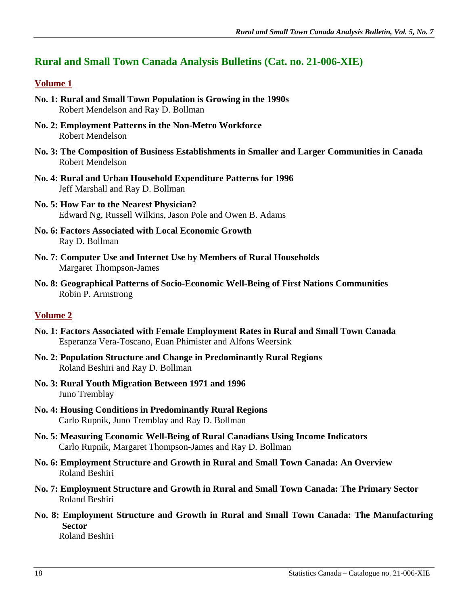# **Rural and Small Town Canada Analysis Bulletins (Cat. no. 21-006-XIE)**

### **Volume 1**

- **No. 1: Rural and Small Town Population is Growing in the 1990s**  Robert Mendelson and Ray D. Bollman
- **No. 2: Employment Patterns in the Non-Metro Workforce**  Robert Mendelson
- **No. 3: The Composition of Business Establishments in Smaller and Larger Communities in Canada**  Robert Mendelson
- **No. 4: Rural and Urban Household Expenditure Patterns for 1996**  Jeff Marshall and Ray D. Bollman
- **No. 5: How Far to the Nearest Physician?**  Edward Ng, Russell Wilkins, Jason Pole and Owen B. Adams
- **No. 6: Factors Associated with Local Economic Growth**  Ray D. Bollman
- **No. 7: Computer Use and Internet Use by Members of Rural Households**  Margaret Thompson-James
- **No. 8: Geographical Patterns of Socio-Economic Well-Being of First Nations Communities**  Robin P. Armstrong

## **Volume 2**

- **No. 1: Factors Associated with Female Employment Rates in Rural and Small Town Canada**  Esperanza Vera-Toscano, Euan Phimister and Alfons Weersink
- **No. 2: Population Structure and Change in Predominantly Rural Regions**  Roland Beshiri and Ray D. Bollman
- **No. 3: Rural Youth Migration Between 1971 and 1996**  Juno Tremblay
- **No. 4: Housing Conditions in Predominantly Rural Regions**  Carlo Rupnik, Juno Tremblay and Ray D. Bollman
- **No. 5: Measuring Economic Well-Being of Rural Canadians Using Income Indicators**  Carlo Rupnik, Margaret Thompson-James and Ray D. Bollman
- **No. 6: Employment Structure and Growth in Rural and Small Town Canada: An Overview**  Roland Beshiri
- **No. 7: Employment Structure and Growth in Rural and Small Town Canada: The Primary Sector**  Roland Beshiri
- **No. 8: Employment Structure and Growth in Rural and Small Town Canada: The Manufacturing Sector**

Roland Beshiri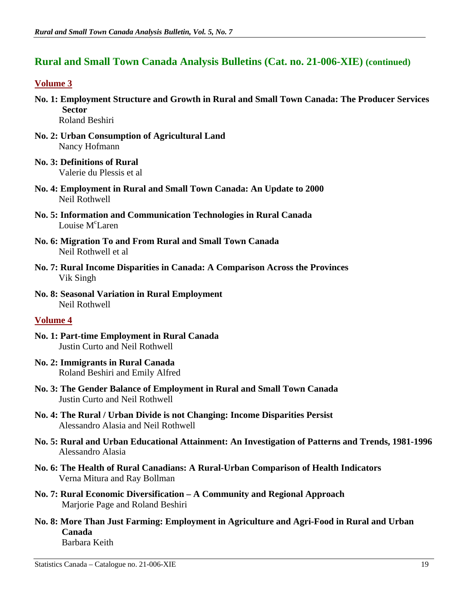## **Rural and Small Town Canada Analysis Bulletins (Cat. no. 21-006-XIE) (continued)**

#### **Volume 3**

- **No. 1: Employment Structure and Growth in Rural and Small Town Canada: The Producer Services Sector**  Roland Beshiri
- **No. 2: Urban Consumption of Agricultural Land**  Nancy Hofmann
- **No. 3: Definitions of Rural**  Valerie du Plessis et al
- **No. 4: Employment in Rural and Small Town Canada: An Update to 2000**  Neil Rothwell
- **No. 5: Information and Communication Technologies in Rural Canada**  Louise M<sup>c</sup>Laren
- **No. 6: Migration To and From Rural and Small Town Canada**  Neil Rothwell et al
- **No. 7: Rural Income Disparities in Canada: A Comparison Across the Provinces**  Vik Singh
- **No. 8: Seasonal Variation in Rural Employment**  Neil Rothwell

#### **Volume 4**

- **No. 1: Part-time Employment in Rural Canada**  Justin Curto and Neil Rothwell
- **No. 2: Immigrants in Rural Canada**  Roland Beshiri and Emily Alfred
- **No. 3: The Gender Balance of Employment in Rural and Small Town Canada**  Justin Curto and Neil Rothwell
- **No. 4: The Rural / Urban Divide is not Changing: Income Disparities Persist**  Alessandro Alasia and Neil Rothwell
- **No. 5: Rural and Urban Educational Attainment: An Investigation of Patterns and Trends, 1981-1996**  Alessandro Alasia
- **No. 6: The Health of Rural Canadians: A Rural-Urban Comparison of Health Indicators**  Verna Mitura and Ray Bollman
- **No. 7: Rural Economic Diversification A Community and Regional Approach**  Marjorie Page and Roland Beshiri
- **No. 8: More Than Just Farming: Employment in Agriculture and Agri-Food in Rural and Urban Canada**

Barbara Keith